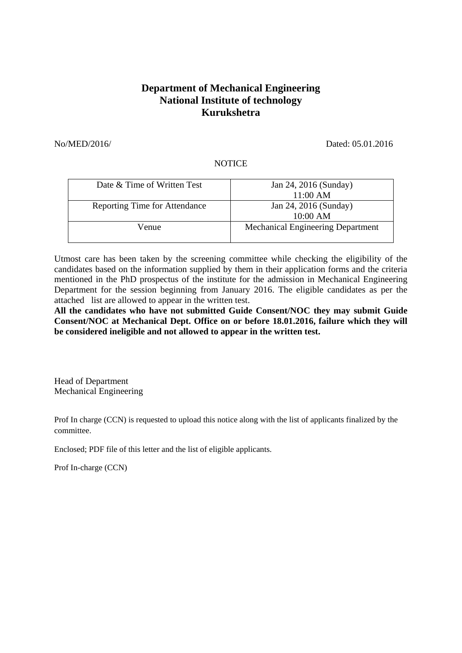## **Department of Mechanical Engineering National Institute of technology Kurukshetra**

No/MED/2016/ Dated: 05.01.2016

## **NOTICE**

| Date & Time of Written Test          | Jan 24, 2016 (Sunday)<br>11:00 AM        |
|--------------------------------------|------------------------------------------|
| <b>Reporting Time for Attendance</b> | Jan 24, 2016 (Sunday)<br>10:00 AM        |
| Venue                                | <b>Mechanical Engineering Department</b> |

Utmost care has been taken by the screening committee while checking the eligibility of the candidates based on the information supplied by them in their application forms and the criteria mentioned in the PhD prospectus of the institute for the admission in Mechanical Engineering Department for the session beginning from January 2016. The eligible candidates as per the attached list are allowed to appear in the written test.

**All the candidates who have not submitted Guide Consent/NOC they may submit Guide Consent/NOC at Mechanical Dept. Office on or before 18.01.2016, failure which they will be considered ineligible and not allowed to appear in the written test.** 

Head of Department Mechanical Engineering

Prof In charge (CCN) is requested to upload this notice along with the list of applicants finalized by the committee.

Enclosed; PDF file of this letter and the list of eligible applicants.

Prof In-charge (CCN)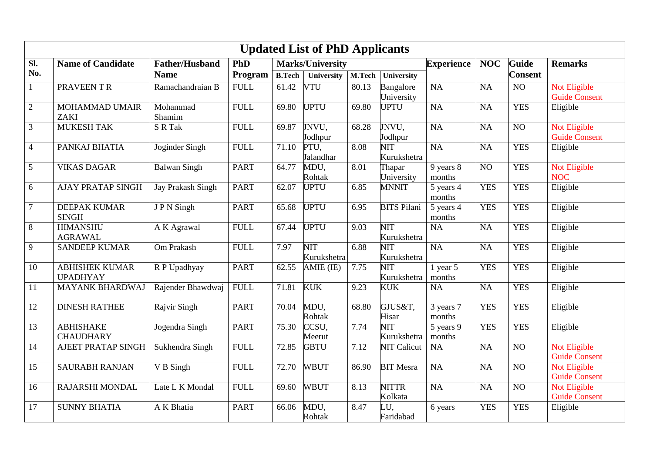| <b>Updated List of PhD Applicants</b> |                                          |                       |                                |               |                    |        |                                        |                        |                 |                 |                                      |  |
|---------------------------------------|------------------------------------------|-----------------------|--------------------------------|---------------|--------------------|--------|----------------------------------------|------------------------|-----------------|-----------------|--------------------------------------|--|
| Sl.                                   | <b>Name of Candidate</b>                 | <b>Father/Husband</b> | PhD<br><b>Marks/University</b> |               |                    |        |                                        | <b>Experience</b>      | <b>NOC</b>      | <b>Guide</b>    | <b>Remarks</b>                       |  |
| No.                                   |                                          | <b>Name</b>           | Program                        | <b>B.Tech</b> | <b>University</b>  | M.Tech | University                             |                        |                 | <b>Consent</b>  |                                      |  |
| $\mathbf{1}$                          | PRAVEEN TR                               | Ramachandraian B      | <b>FULL</b>                    | 61.42         | <b>VTU</b>         | 80.13  | Bangalore<br>University                | NA                     | <b>NA</b>       | NO              | Not Eligible<br><b>Guide Consent</b> |  |
| $\overline{2}$                        | <b>MOHAMMAD UMAIR</b><br><b>ZAKI</b>     | Mohammad<br>Shamim    | <b>FULL</b>                    | 69.80         | <b>UPTU</b>        | 69.80  | <b>UPTU</b>                            | <b>NA</b>              | <b>NA</b>       | <b>YES</b>      | Eligible                             |  |
| $\overline{3}$                        | <b>MUKESH TAK</b>                        | S R Tak               | <b>FULL</b>                    | 69.87         | JNVU.<br>Jodhpur   | 68.28  | JNVU,<br>Jodhpur                       | <b>NA</b>              | <b>NA</b>       | NO              | Not Eligible<br><b>Guide Consent</b> |  |
| $\overline{4}$                        | PANKAJ BHATIA                            | Joginder Singh        | <b>FULL</b>                    | 71.10         | PTU,<br>Jalandhar  | 8.08   | NIT<br>Kurukshetra                     | <b>NA</b>              | <b>NA</b>       | <b>YES</b>      | Eligible                             |  |
| 5                                     | <b>VIKAS DAGAR</b>                       | <b>Balwan Singh</b>   | <b>PART</b>                    | 64.77         | MDU,<br>Rohtak     | 8.01   | Thapar<br>University                   | 9 years 8<br>months    | $\overline{NO}$ | <b>YES</b>      | Not Eligible<br><b>NOC</b>           |  |
| 6                                     | <b>AJAY PRATAP SINGH</b>                 | Jay Prakash Singh     | <b>PART</b>                    | 62.07         | <b>UPTU</b>        | 6.85   | <b>MNNIT</b>                           | 5 years 4<br>months    | <b>YES</b>      | <b>YES</b>      | Eligible                             |  |
| $\tau$                                | <b>DEEPAK KUMAR</b><br><b>SINGH</b>      | JPN Singh             | <b>PART</b>                    | 65.68         | <b>UPTU</b>        | 6.95   | <b>BITS Pilani</b>                     | 5 years 4<br>months    | <b>YES</b>      | <b>YES</b>      | Eligible                             |  |
| 8                                     | <b>HIMANSHU</b><br><b>AGRAWAL</b>        | A K Agrawal           | <b>FULL</b>                    | 67.44         | <b>UPTU</b>        | 9.03   | $\overline{\text{NIT}}$<br>Kurukshetra | NA                     | <b>NA</b>       | <b>YES</b>      | Eligible                             |  |
| 9                                     | <b>SANDEEP KUMAR</b>                     | Om Prakash            | <b>FULL</b>                    | 7.97          | NIT<br>Kurukshetra | 6.88   | NIT<br>Kurukshetra                     | NA                     | <b>NA</b>       | <b>YES</b>      | Eligible                             |  |
| 10                                    | <b>ABHISHEK KUMAR</b><br><b>UPADHYAY</b> | R P Upadhyay          | <b>PART</b>                    | 62.55         | AMIE (IE)          | 7.75   | NIT<br>Kurukshetra                     | $1$ year $5$<br>months | <b>YES</b>      | <b>YES</b>      | Eligible                             |  |
| 11                                    | <b>MAYANK BHARDWAJ</b>                   | Rajender Bhawdwaj     | <b>FULL</b>                    | 71.81         | <b>KUK</b>         | 9.23   | <b>KUK</b>                             | NA                     | <b>NA</b>       | <b>YES</b>      | Eligible                             |  |
| 12                                    | <b>DINESH RATHEE</b>                     | Rajvir Singh          | <b>PART</b>                    | 70.04         | MDU,<br>Rohtak     | 68.80  | GJUS&T,<br>Hisar                       | 3 years 7<br>months    | <b>YES</b>      | <b>YES</b>      | Eligible                             |  |
| 13                                    | <b>ABHISHAKE</b><br><b>CHAUDHARY</b>     | Jogendra Singh        | <b>PART</b>                    | 75.30         | CCSU,<br>Meerut    | 7.74   | NIT<br>Kurukshetra                     | 5 years 9<br>months    | <b>YES</b>      | <b>YES</b>      | Eligible                             |  |
| 14                                    | AJEET PRATAP SINGH                       | Sukhendra Singh       | <b>FULL</b>                    | 72.85         | <b>GBTU</b>        | 7.12   | <b>NIT Calicut</b>                     | <b>NA</b>              | <b>NA</b>       | NO              | Not Eligible<br><b>Guide Consent</b> |  |
| 15                                    | <b>SAURABH RANJAN</b>                    | V B Singh             | <b>FULL</b>                    | 72.70         | <b>WBUT</b>        | 86.90  | <b>BIT Mesra</b>                       | NA                     | <b>NA</b>       | $\overline{NO}$ | Not Eligible<br><b>Guide Consent</b> |  |
| 16                                    | RAJARSHI MONDAL                          | Late L K Mondal       | <b>FULL</b>                    | 69.60         | <b>WBUT</b>        | 8.13   | <b>NITTR</b><br>Kolkata                | NA                     | <b>NA</b>       | NO              | Not Eligible<br><b>Guide Consent</b> |  |
| 17                                    | <b>SUNNY BHATIA</b>                      | A K Bhatia            | <b>PART</b>                    | 66.06         | MDU,<br>Rohtak     | 8.47   | JU,<br>Faridabad                       | 6 years                | <b>YES</b>      | <b>YES</b>      | Eligible                             |  |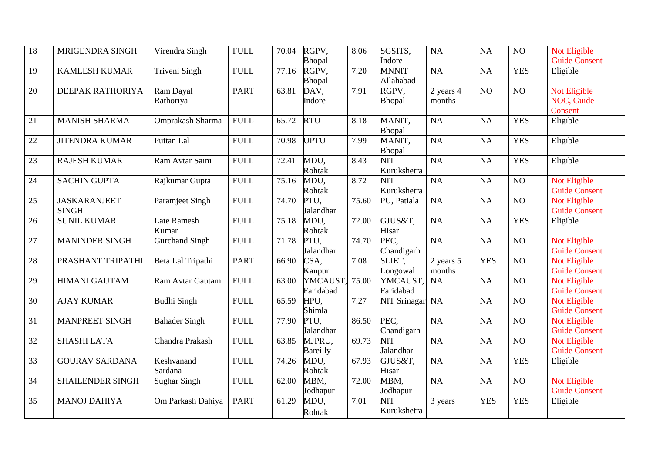| 18 | MRIGENDRA SINGH                     | Virendra Singh              | <b>FULL</b> | 70.04 | RGPV,<br>Bhopal       | 8.06               | SGSITS,<br>Indore         | <b>NA</b>           | NA              | NO              | Not Eligible<br><b>Guide Consent</b>        |
|----|-------------------------------------|-----------------------------|-------------|-------|-----------------------|--------------------|---------------------------|---------------------|-----------------|-----------------|---------------------------------------------|
| 19 | <b>KAMLESH KUMAR</b>                | Triveni Singh               | <b>FULL</b> | 77.16 | RGPV,<br>Bhopal       | 7.20               | <b>MNNIT</b><br>Allahabad | <b>NA</b>           | NA              | <b>YES</b>      | Eligible                                    |
| 20 | DEEPAK RATHORIYA                    | Ram Dayal<br>Rathoriya      | <b>PART</b> | 63.81 | DAV,<br>Indore        | 7.91               | RGPV,<br>Bhopal           | 2 years 4<br>months | NO              | N <sub>O</sub>  | Not Eligible<br>NOC, Guide<br>Consent       |
| 21 | <b>MANISH SHARMA</b>                | Omprakash Sharma            | <b>FULL</b> | 65.72 | <b>RTU</b>            | 8.18               | MANIT,<br>Bhopal          | <b>NA</b>           | <b>NA</b>       | <b>YES</b>      | Eligible                                    |
| 22 | <b>JITENDRA KUMAR</b>               | Puttan Lal                  | <b>FULL</b> | 70.98 | <b>UPTU</b>           | 7.99               | MANIT,<br>Bhopal          | <b>NA</b>           | <b>NA</b>       | <b>YES</b>      | Eligible                                    |
| 23 | <b>RAJESH KUMAR</b>                 | Ram Avtar Saini             | <b>FULL</b> | 72.41 | MDU,<br>Rohtak        | 8.43               | <b>NIT</b><br>Kurukshetra | <b>NA</b>           | <b>NA</b>       | <b>YES</b>      | Eligible                                    |
| 24 | <b>SACHIN GUPTA</b>                 | Rajkumar Gupta              | <b>FULL</b> | 75.16 | MDU,<br>Rohtak        | 8.72               | <b>NIT</b><br>Kurukshetra | $\overline{NA}$     | <b>NA</b>       | NO              | Not Eligible<br><b>Guide Consent</b>        |
| 25 | <b>JASKARANJEET</b><br><b>SINGH</b> | Paramjeet Singh             | <b>FULL</b> | 74.70 | PTU,<br>Jalandhar     | 75.60              | PU, Patiala               | <b>NA</b>           | <b>NA</b>       | N <sub>O</sub>  | Not Eligible<br><b>Guide Consent</b>        |
| 26 | <b>SUNIL KUMAR</b>                  | <b>Late Ramesh</b><br>Kumar | <b>FULL</b> | 75.18 | MDU,<br>Rohtak        | $\overline{7}2.00$ | GJUS&T,<br>Hisar          | <b>NA</b>           | <b>NA</b>       | <b>YES</b>      | Eligible                                    |
| 27 | <b>MANINDER SINGH</b>               | <b>Gurchand Singh</b>       | <b>FULL</b> | 71.78 | PTU,<br>Jalandhar     | 74.70              | PEC.<br>Chandigarh        | $\overline{NA}$     | $\overline{NA}$ | $\overline{NO}$ | Not Eligible<br><b>Guide Consent</b>        |
| 28 | PRASHANT TRIPATHI                   | Beta Lal Tripathi           | <b>PART</b> | 66.90 | CSA,<br>Kanpur        | 7.08               | SLIET,<br>Longowal        | 2 years 5<br>months | <b>YES</b>      | $\overline{NO}$ | Not Eligible<br><b>Guide Consent</b>        |
| 29 | <b>HIMANI GAUTAM</b>                | Ram Avtar Gautam            | <b>FULL</b> | 63.00 | YMCAUST,<br>Faridabad | 75.00              | YMCAUST,<br>Faridabad     | <b>NA</b>           | NA              | $\overline{NO}$ | Not Eligible<br><b>Guide Consent</b>        |
| 30 | <b>AJAY KUMAR</b>                   | <b>Budhi Singh</b>          | <b>FULL</b> | 65.59 | HPU,<br>Shimla        | 7.27               | <b>NIT Srinagar</b>       | <b>NA</b>           | $\overline{NA}$ | $\overline{NO}$ | Not Eligible<br><b>Guide Consent</b>        |
| 31 | <b>MANPREET SINGH</b>               | <b>Bahader Singh</b>        | <b>FULL</b> | 77.90 | PTU,<br>Jalandhar     | 86.50              | PEC,<br>Chandigarh        | NA                  | $\overline{NA}$ | $\overline{NO}$ | <b>Not Eligible</b><br><b>Guide Consent</b> |
| 32 | <b>SHASHI LATA</b>                  | Chandra Prakash             | <b>FULL</b> | 63.85 | MJPRU,<br>Bareilly    | 69.73              | <b>NIT</b><br>Jalandhar   | $\overline{NA}$     | NA              | $\overline{NO}$ | <b>Not Eligible</b><br><b>Guide Consent</b> |
| 33 | <b>GOURAV SARDANA</b>               | Keshvanand<br>Sardana       | <b>FULL</b> | 74.26 | MDU,<br>Rohtak        | 67.93              | GJUS&T,<br>Hisar          | $\overline{NA}$     | <b>NA</b>       | <b>YES</b>      | Eligible                                    |
| 34 | SHAILENDER SINGH                    | <b>Sughar Singh</b>         | <b>FULL</b> | 62.00 | MBM,<br>Jodhapur      | $\overline{72.00}$ | MBM,<br>Jodhapur          | <b>NA</b>           | NA              | NO              | Not Eligible<br><b>Guide Consent</b>        |
| 35 | <b>MANOJ DAHIYA</b>                 | Om Parkash Dahiya           | <b>PART</b> | 61.29 | MDU,<br>Rohtak        | 7.01               | NIT<br>Kurukshetra        | 3 years             | <b>YES</b>      | <b>YES</b>      | Eligible                                    |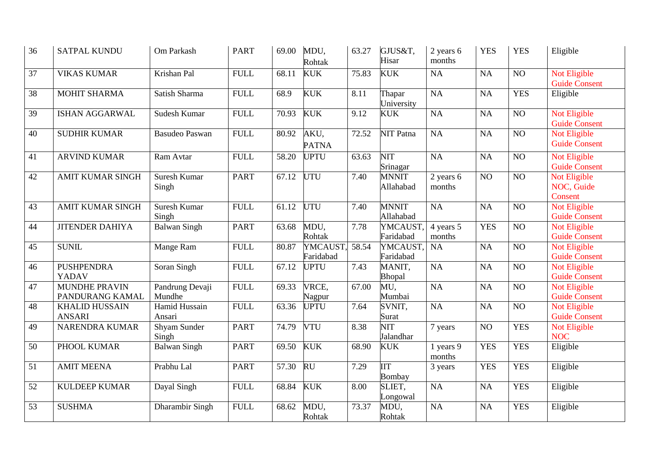| 36              | <b>SATPAL KUNDU</b>                     | Om Parkash                   | <b>PART</b> | 69.00              | MDU,<br>Rohtak        | 63.27 | GJUS&T,<br>Hisar            | 2 years 6<br>months | <b>YES</b> | <b>YES</b>      | Eligible                                    |
|-----------------|-----------------------------------------|------------------------------|-------------|--------------------|-----------------------|-------|-----------------------------|---------------------|------------|-----------------|---------------------------------------------|
| 37              | <b>VIKAS KUMAR</b>                      | Krishan Pal                  | <b>FULL</b> | 68.11              | <b>KUK</b>            | 75.83 | <b>KUK</b>                  | NA                  | NA         | NO              | <b>Not Eligible</b><br><b>Guide Consent</b> |
| 38              | <b>MOHIT SHARMA</b>                     | Satish Sharma                | <b>FULL</b> | 68.9               | <b>KUK</b>            | 8.11  | Thapar<br>University        | $\overline{NA}$     | NA         | <b>YES</b>      | Eligible                                    |
| 39              | ISHAN AGGARWAL                          | Sudesh Kumar                 | <b>FULL</b> | 70.93              | <b>KUK</b>            | 9.12  | <b>KUK</b>                  | NA                  | NA         | NO              | Not Eligible<br><b>Guide Consent</b>        |
| 40              | <b>SUDHIR KUMAR</b>                     | <b>Basudeo Paswan</b>        | <b>FULL</b> | 80.92              | AKU,<br><b>PATNA</b>  | 72.52 | <b>NIT Patna</b>            | NA                  | NA         | $\overline{NO}$ | <b>Not Eligible</b><br><b>Guide Consent</b> |
| 41              | <b>ARVIND KUMAR</b>                     | Ram Avtar                    | <b>FULL</b> | 58.20              | <b>UPTU</b>           | 63.63 | NIT<br>Srinagar             | <b>NA</b>           | <b>NA</b>  | $\overline{NO}$ | <b>Not Eligible</b><br><b>Guide Consent</b> |
| 42              | <b>AMIT KUMAR SINGH</b>                 | Suresh Kumar<br>Singh        | <b>PART</b> | 67.12              | UTU                   | 7.40  | <b>MNNIT</b><br>Allahabad   | 2 years 6<br>months | NO         | $\overline{NO}$ | Not Eligible<br>NOC, Guide<br>Consent       |
| 43              | <b>AMIT KUMAR SINGH</b>                 | Suresh Kumar<br>Singh        | <b>FULL</b> | $\overline{6}1.12$ | UTU                   | 7.40  | <b>MNNIT</b><br>Allahabad   | NA                  | NA         | $\overline{NO}$ | Not Eligible<br><b>Guide Consent</b>        |
| 44              | <b>JITENDER DAHIYA</b>                  | <b>Balwan Singh</b>          | <b>PART</b> | 63.68              | MDU,<br>Rohtak        | 7.78  | YMCAUST,<br>Faridabad       | 4 years 5<br>months | <b>YES</b> | $\overline{NO}$ | Not Eligible<br><b>Guide Consent</b>        |
| 45              | <b>SUNIL</b>                            | Mange Ram                    | <b>FULL</b> | 80.87              | YMCAUST.<br>Faridabad | 58.54 | YMCAUST,<br>Faridabad       | <b>NA</b>           | NA         | $\overline{NO}$ | <b>Not Eligible</b><br><b>Guide Consent</b> |
| 46              | <b>PUSHPENDRA</b><br>YADAV              | Soran Singh                  | <b>FULL</b> | 67.12              | <b>UPTU</b>           | 7.43  | MANIT,<br>Bhopal            | NA                  | NA         | $\overline{NO}$ | Not Eligible<br><b>Guide Consent</b>        |
| 47              | <b>MUNDHE PRAVIN</b><br>PANDURANG KAMAL | Pandrung Devaji<br>Mundhe    | <b>FULL</b> | 69.33              | VRCE,<br>Nagpur       | 67.00 | MU,<br>Mumbai               | NA                  | NA         | NO              | Not Eligible<br><b>Guide Consent</b>        |
| 48              | <b>KHALID HUSSAIN</b><br><b>ANSARI</b>  | Hamid Hussain<br>Ansari      | <b>FULL</b> | 63.36              | <b>UPTU</b>           | 7.64  | SVNIT,<br>Surat             | NA                  | NA         | $\overline{NO}$ | Not Eligible<br><b>Guide Consent</b>        |
| 49              | <b>NARENDRA KUMAR</b>                   | <b>Shyam Sunder</b><br>Singh | <b>PART</b> | 74.79              | <b>VTU</b>            | 8.38  | NIT<br>Jalandhar            | 7 years             | NO         | <b>YES</b>      | Not Eligible<br><b>NOC</b>                  |
| 50              | PHOOL KUMAR                             | <b>Balwan Singh</b>          | <b>PART</b> | 69.50              | <b>KUK</b>            | 68.90 | <b>KUK</b>                  | 1 years 9<br>months | <b>YES</b> | <b>YES</b>      | Eligible                                    |
| $\overline{51}$ | <b>AMIT MEENA</b>                       | Prabhu Lal                   | <b>PART</b> | 57.30              | <b>RU</b>             | 7.29  | <b>IIT</b><br><b>Bombay</b> | 3 years             | <b>YES</b> | <b>YES</b>      | Eligible                                    |
| 52              | <b>KULDEEP KUMAR</b>                    | Dayal Singh                  | <b>FULL</b> | 68.84              | <b>KUK</b>            | 8.00  | SLIET,<br>Longowal          | NA                  | NA         | <b>YES</b>      | Eligible                                    |
| 53              | <b>SUSHMA</b>                           | Dharambir Singh              | <b>FULL</b> | 68.62              | MDU,<br>Rohtak        | 73.37 | MDU,<br>Rohtak              | NA                  | NA         | <b>YES</b>      | Eligible                                    |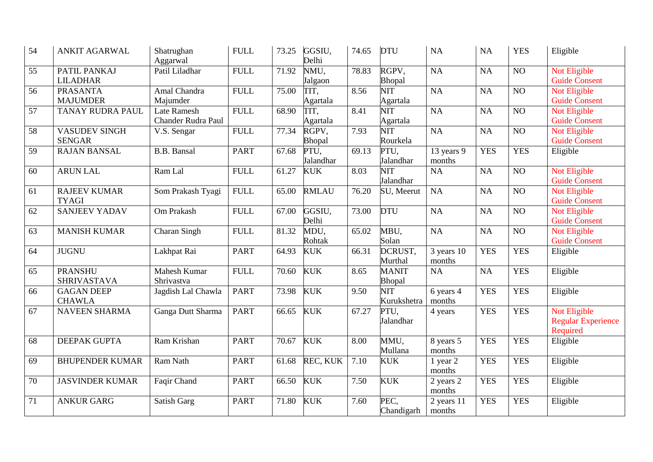| 54 | <b>ANKIT AGARWAL</b>                  | Shatrughan<br>Aggarwal                   | <b>FULL</b> | 73.25 | GGSIU,<br>Delhi        | 74.65 | <b>DTU</b>                          | NA                   | NA         | <b>YES</b>       | Eligible                                              |
|----|---------------------------------------|------------------------------------------|-------------|-------|------------------------|-------|-------------------------------------|----------------------|------------|------------------|-------------------------------------------------------|
| 55 | PATIL PANKAJ<br><b>LILADHAR</b>       | Patil Liladhar                           | <b>FULL</b> | 71.92 | NMU,<br>Jalgaon        | 78.83 | RGPV,<br>Bhopal                     | NA                   | NA         | N <sub>O</sub>   | Not Eligible<br><b>Guide Consent</b>                  |
| 56 | <b>PRASANTA</b><br><b>MAJUMDER</b>    | Amal Chandra<br>Majumder                 | <b>FULL</b> | 75.00 | TIT,<br>Agartala       | 8.56  | NIT<br>Agartala                     | $\overline{NA}$      | NA         | $\overline{NO}$  | Not Eligible<br><b>Guide Consent</b>                  |
| 57 | <b>TANAY RUDRA PAUL</b>               | Late Ramesh<br><b>Chander Rudra Paul</b> | <b>FULL</b> | 68.90 | TIT.<br>Agartala       | 8.41  | <b>NIT</b><br>Agartala              | $\overline{NA}$      | NA         | N <sub>O</sub>   | Not Eligible<br><b>Guide Consent</b>                  |
| 58 | <b>VASUDEV SINGH</b><br><b>SENGAR</b> | V.S. Sengar                              | <b>FULL</b> | 77.34 | RGPV,<br><b>Bhopal</b> | 7.93  | $\overline{\text{NIT}}$<br>Rourkela | NA                   | NA         | $\overline{NO}$  | Not Eligible<br><b>Guide Consent</b>                  |
| 59 | <b>RAJAN BANSAL</b>                   | <b>B.B.</b> Bansal                       | <b>PART</b> | 67.68 | PTU,<br>Jalandhar      | 69.13 | PTU,<br>Jalandhar                   | 13 years 9<br>months | <b>YES</b> | <b>YES</b>       | Eligible                                              |
| 60 | <b>ARUN LAL</b>                       | Ram Lal                                  | <b>FULL</b> | 61.27 | <b>KUK</b>             | 8.03  | NIT<br>Jalandhar                    | NA                   | NA         | NO               | Not Eligible<br><b>Guide Consent</b>                  |
| 61 | <b>RAJEEV KUMAR</b><br><b>TYAGI</b>   | Som Prakash Tyagi                        | <b>FULL</b> | 65.00 | <b>RMLAU</b>           | 76.20 | SU, Meerut                          | <b>NA</b>            | NA         | NO               | Not Eligible<br><b>Guide Consent</b>                  |
| 62 | <b>SANJEEV YADAV</b>                  | Om Prakash                               | <b>FULL</b> | 67.00 | GGSIU,<br>Delhi        | 73.00 | <b>DTU</b>                          | NA                   | NA         | $\overline{N}$ O | Not Eligible<br><b>Guide Consent</b>                  |
| 63 | <b>MANISH KUMAR</b>                   | Charan Singh                             | <b>FULL</b> | 81.32 | MDU,<br>Rohtak         | 65.02 | MBU,<br>Solan                       | <b>NA</b>            | NA         | NO               | Not Eligible<br><b>Guide Consent</b>                  |
| 64 | <b>JUGNU</b>                          | Lakhpat Rai                              | <b>PART</b> | 64.93 | <b>KUK</b>             | 66.31 | DCRUST,<br>Murthal                  | 3 years 10<br>months | <b>YES</b> | <b>YES</b>       | Eligible                                              |
| 65 | <b>PRANSHU</b><br><b>SHRIVASTAVA</b>  | Mahesh Kumar<br>Shrivastva               | <b>FULL</b> | 70.60 | <b>KUK</b>             | 8.65  | <b>MANIT</b><br>Bhopal              | NA                   | NA         | <b>YES</b>       | Eligible                                              |
| 66 | <b>GAGAN DEEP</b><br><b>CHAWLA</b>    | Jagdish Lal Chawla                       | <b>PART</b> | 73.98 | <b>KUK</b>             | 9.50  | <b>NIT</b><br>Kurukshetra           | 6 years 4<br>months  | <b>YES</b> | <b>YES</b>       | Eligible                                              |
| 67 | <b>NAVEEN SHARMA</b>                  | Ganga Dutt Sharma                        | <b>PART</b> | 66.65 | <b>KUK</b>             | 67.27 | PTU,<br>Jalandhar                   | 4 years              | <b>YES</b> | <b>YES</b>       | Not Eligible<br><b>Regular Experience</b><br>Required |
| 68 | DEEPAK GUPTA                          | Ram Krishan                              | <b>PART</b> | 70.67 | <b>KUK</b>             | 8.00  | MMU,<br>Mullana                     | 8 years 5<br>months  | <b>YES</b> | <b>YES</b>       | Eligible                                              |
| 69 | <b>BHUPENDER KUMAR</b>                | Ram Nath                                 | <b>PART</b> | 61.68 | REC, KUK               | 7.10  | <b>KUK</b>                          | 1 year 2<br>months   | <b>YES</b> | <b>YES</b>       | Eligible                                              |
| 70 | <b>JASVINDER KUMAR</b>                | Faqir Chand                              | <b>PART</b> | 66.50 | <b>KUK</b>             | 7.50  | <b>KUK</b>                          | 2 years 2<br>months  | <b>YES</b> | <b>YES</b>       | Eligible                                              |
| 71 | <b>ANKUR GARG</b>                     | Satish Garg                              | <b>PART</b> | 71.80 | <b>KUK</b>             | 7.60  | PEC.<br>Chandigarh                  | 2 years 11<br>months | <b>YES</b> | <b>YES</b>       | Eligible                                              |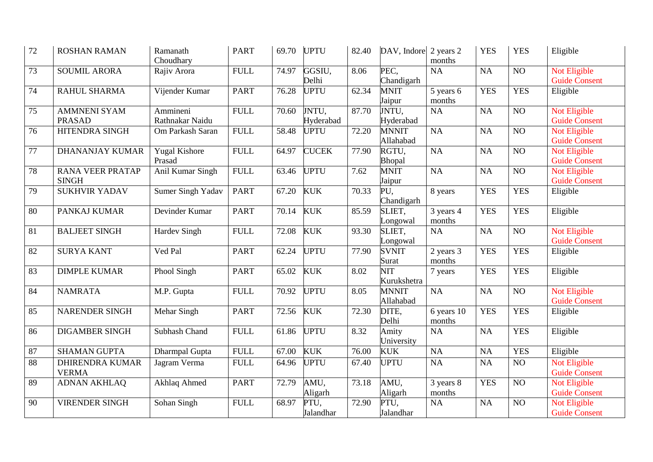| 72 | <b>ROSHAN RAMAN</b>                     | Ramanath<br>Choudhary          | <b>PART</b>  | 69.70 | <b>UPTU</b>        | 82.40 | DAV, Indore               | 2 years 2<br>months  | <b>YES</b> | <b>YES</b>      | Eligible                                    |
|----|-----------------------------------------|--------------------------------|--------------|-------|--------------------|-------|---------------------------|----------------------|------------|-----------------|---------------------------------------------|
| 73 | <b>SOUMIL ARORA</b>                     | Rajiv Arora                    | <b>FULL</b>  | 74.97 | GGSIU,<br>Delhi    | 8.06  | PEC,<br>Chandigarh        | <b>NA</b>            | NA         | NO              | Not Eligible<br><b>Guide Consent</b>        |
| 74 | RAHUL SHARMA                            | Vijender Kumar                 | <b>PART</b>  | 76.28 | <b>UPTU</b>        | 62.34 | <b>MNIT</b><br>Jaipur     | 5 years 6<br>months  | <b>YES</b> | <b>YES</b>      | Eligible                                    |
| 75 | <b>AMMNENI SYAM</b><br><b>PRASAD</b>    | Ammineni<br>Rathnakar Naidu    | <b>FULL</b>  | 70.60 | JNTU,<br>Hyderabad | 87.70 | JNTU,<br>Hyderabad        | NA                   | NA         | NO              | Not Eligible<br><b>Guide Consent</b>        |
| 76 | <b>HITENDRA SINGH</b>                   | Om Parkash Saran               | <b>FULL</b>  | 58.48 | <b>UPTU</b>        | 72.20 | <b>MNNIT</b><br>Allahabad | <b>NA</b>            | NA         | $\overline{NO}$ | Not Eligible<br><b>Guide Consent</b>        |
| 77 | <b>DHANANJAY KUMAR</b>                  | <b>Yugal Kishore</b><br>Prasad | <b>FULL</b>  | 64.97 | <b>CUCEK</b>       | 77.90 | RGTU,<br>Bhopal           | <b>NA</b>            | <b>NA</b>  | NO              | Not Eligible<br><b>Guide Consent</b>        |
| 78 | <b>RANA VEER PRATAP</b><br><b>SINGH</b> | <b>Anil Kumar Singh</b>        | <b>FULL</b>  | 63.46 | <b>UPTU</b>        | 7.62  | <b>MNIT</b><br>Jaipur     | NA                   | NA         | $\overline{NO}$ | Not Eligible<br><b>Guide Consent</b>        |
| 79 | <b>SUKHVIR YADAV</b>                    | Sumer Singh Yadav              | <b>PART</b>  | 67.20 | <b>KUK</b>         | 70.33 | PU,<br>Chandigarh         | 8 years              | <b>YES</b> | <b>YES</b>      | Eligible                                    |
| 80 | PANKAJ KUMAR                            | Devinder Kumar                 | <b>PART</b>  | 70.14 | <b>KUK</b>         | 85.59 | SLIET,<br>Longowal        | 3 years 4<br>months  | <b>YES</b> | <b>YES</b>      | Eligible                                    |
| 81 | <b>BALJEET SINGH</b>                    | <b>Hardev Singh</b>            | <b>FULL</b>  | 72.08 | <b>KUK</b>         | 93.30 | SLIET,<br>Longowal        | NA                   | NA         | $\overline{NO}$ | <b>Not Eligible</b><br><b>Guide Consent</b> |
| 82 | <b>SURYA KANT</b>                       | Ved Pal                        | <b>PART</b>  | 62.24 | <b>UPTU</b>        | 77.90 | <b>SVNIT</b><br>Surat     | 2 years 3<br>months  | <b>YES</b> | <b>YES</b>      | Eligible                                    |
| 83 | <b>DIMPLE KUMAR</b>                     | Phool Singh                    | <b>PART</b>  | 65.02 | <b>KUK</b>         | 8.02  | <b>NIT</b><br>Kurukshetra | 7 years              | <b>YES</b> | <b>YES</b>      | Eligible                                    |
| 84 | <b>NAMRATA</b>                          | M.P. Gupta                     | <b>FULL</b>  | 70.92 | <b>UPTU</b>        | 8.05  | <b>MNNIT</b><br>Allahabad | <b>NA</b>            | NA         | NO              | Not Eligible<br><b>Guide Consent</b>        |
| 85 | <b>NARENDER SINGH</b>                   | Mehar Singh                    | <b>PART</b>  | 72.56 | <b>KUK</b>         | 72.30 | DITE,<br>Delhi            | 6 years 10<br>months | <b>YES</b> | <b>YES</b>      | Eligible                                    |
| 86 | <b>DIGAMBER SINGH</b>                   | Subhash Chand                  | ${\rm FULL}$ | 61.86 | <b>UPTU</b>        | 8.32  | Amity<br>University       | NA                   | NA         | <b>YES</b>      | Eligible                                    |
| 87 | <b>SHAMAN GUPTA</b>                     | Dharmpal Gupta                 | <b>FULL</b>  | 67.00 | <b>KUK</b>         | 76.00 | <b>KUK</b>                | NA                   | <b>NA</b>  | <b>YES</b>      | Eligible                                    |
| 88 | <b>DHIRENDRA KUMAR</b><br><b>VERMA</b>  | Jagram Verma                   | <b>FULL</b>  | 64.96 | <b>UPTU</b>        | 67.40 | <b>UPTU</b>               | NA                   | NA         | $\overline{NO}$ | Not Eligible<br><b>Guide Consent</b>        |
| 89 | <b>ADNAN AKHLAQ</b>                     | Akhlaq Ahmed                   | <b>PART</b>  | 72.79 | AMU,<br>Aligarh    | 73.18 | AMU,<br>Aligarh           | 3 years 8<br>months  | <b>YES</b> | NO              | Not Eligible<br><b>Guide Consent</b>        |
| 90 | <b>VIRENDER SINGH</b>                   | Sohan Singh                    | <b>FULL</b>  | 68.97 | PTU,<br>Jalandhar  | 72.90 | PTU.<br>Jalandhar         | NA                   | NA         | N <sub>O</sub>  | Not Eligible<br><b>Guide Consent</b>        |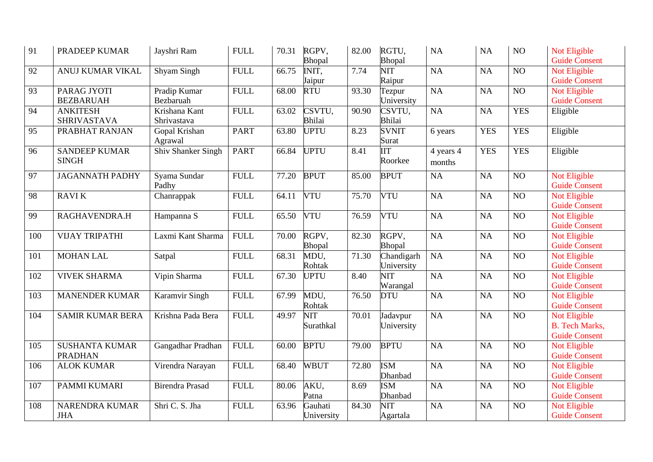| 91  | PRADEEP KUMAR                           | Jayshri Ram                  | ${\rm FULL}$ | 70.31 | RGPV,<br>Bhopal       | 82.00              | RGTU,<br>Bhopal          | NA                  | NA              | NO              | Not Eligible<br><b>Guide Consent</b>                          |
|-----|-----------------------------------------|------------------------------|--------------|-------|-----------------------|--------------------|--------------------------|---------------------|-----------------|-----------------|---------------------------------------------------------------|
| 92  | ANUJ KUMAR VIKAL                        | Shyam Singh                  | <b>FULL</b>  | 66.75 | INIT,<br>Jaipur       | 7.74               | <b>NIT</b><br>Raipur     | <b>NA</b>           | NA              | NO              | Not Eligible<br><b>Guide Consent</b>                          |
| 93  | PARAG JYOTI<br><b>BEZBARUAH</b>         | Pradip Kumar<br>Bezbaruah    | <b>FULL</b>  | 68.00 | <b>RTU</b>            | 93.30              | Tezpur<br>University     | <b>NA</b>           | NA              | NO              | Not Eligible<br><b>Guide Consent</b>                          |
| 94  | <b>ANKITESH</b><br><b>SHRIVASTAVA</b>   | Krishana Kant<br>Shrivastava | <b>FULL</b>  | 63.02 | CSVTU,<br>Bhilai      | 90.90              | CSVTU,<br><b>Bhilai</b>  | <b>NA</b>           | NA              | <b>YES</b>      | Eligible                                                      |
| 95  | PRABHAT RANJAN                          | Gopal Krishan<br>Agrawal     | <b>PART</b>  | 63.80 | <b>UPTU</b>           | 8.23               | <b>SVNIT</b><br>Surat    | 6 years             | <b>YES</b>      | <b>YES</b>      | Eligible                                                      |
| 96  | <b>SANDEEP KUMAR</b><br><b>SINGH</b>    | <b>Shiv Shanker Singh</b>    | <b>PART</b>  | 66.84 | <b>UPTU</b>           | 8.41               | $\Pi$<br>Roorkee         | 4 years 4<br>months | <b>YES</b>      | <b>YES</b>      | Eligible                                                      |
| 97  | <b>JAGANNATH PADHY</b>                  | Syama Sundar<br>Padhy        | <b>FULL</b>  | 77.20 | <b>BPUT</b>           | 85.00              | <b>BPUT</b>              | NA                  | NA              | NO              | <b>Not Eligible</b><br><b>Guide Consent</b>                   |
| 98  | <b>RAVIK</b>                            | Chanrappak                   | <b>FULL</b>  | 64.11 | <b>VTU</b>            | 75.70              | <b>VTU</b>               | <b>NA</b>           | NA              | $\overline{NO}$ | <b>Not Eligible</b><br><b>Guide Consent</b>                   |
| 99  | RAGHAVENDRA.H                           | Hampanna S                   | <b>FULL</b>  | 65.50 | <b>VTU</b>            | 76.59              | <b>VTU</b>               | <b>NA</b>           | NA              | $\overline{NO}$ | <b>Not Eligible</b><br><b>Guide Consent</b>                   |
| 100 | <b>VIJAY TRIPATHI</b>                   | Laxmi Kant Sharma            | <b>FULL</b>  | 70.00 | RGPV,<br>Bhopal       | 82.30              | RGPV,<br>Bhopal          | <b>NA</b>           | NA              | NO <sub>1</sub> | Not Eligible<br><b>Guide Consent</b>                          |
| 101 | <b>MOHAN LAL</b>                        | Satpal                       | <b>FULL</b>  | 68.31 | MDU,<br>Rohtak        | 71.30              | Chandigarh<br>University | <b>NA</b>           | NA              | $\overline{NO}$ | Not Eligible<br><b>Guide Consent</b>                          |
| 102 | <b>VIVEK SHARMA</b>                     | Vipin Sharma                 | <b>FULL</b>  | 67.30 | <b>UPTU</b>           | 8.40               | NIT<br>Warangal          | <b>NA</b>           | NA              | $\overline{NO}$ | <b>Not Eligible</b><br><b>Guide Consent</b>                   |
| 103 | <b>MANENDER KUMAR</b>                   | Karamvir Singh               | <b>FULL</b>  | 67.99 | MDU,<br>Rohtak        | 76.50              | <b>DTU</b>               | <b>NA</b>           | NA              | $\overline{NO}$ | <b>Not Eligible</b><br><b>Guide Consent</b>                   |
| 104 | <b>SAMIR KUMAR BERA</b>                 | Krishna Pada Bera            | <b>FULL</b>  | 49.97 | NIT<br>Surathkal      | 70.01              | Jadavpur<br>University   | <b>NA</b>           | NA              | $\overline{NO}$ | Not Eligible<br><b>B.</b> Tech Marks,<br><b>Guide Consent</b> |
| 105 | <b>SUSHANTA KUMAR</b><br><b>PRADHAN</b> | Gangadhar Pradhan            | <b>FULL</b>  | 60.00 | <b>BPTU</b>           | $\overline{79.00}$ | <b>BPTU</b>              | NA                  | $\overline{NA}$ | $\overline{NO}$ | Not Eligible<br><b>Guide Consent</b>                          |
| 106 | <b>ALOK KUMAR</b>                       | Virendra Narayan             | <b>FULL</b>  | 68.40 | <b>WBUT</b>           | 72.80              | <b>ISM</b><br>Dhanbad    | NA                  | NA              | NO              | Not Eligible<br><b>Guide Consent</b>                          |
| 107 | PAMMI KUMARI                            | <b>Birendra Prasad</b>       | <b>FULL</b>  | 80.06 | AKU,<br>Patna         | 8.69               | <b>ISM</b><br>Dhanbad    | NA                  | NA              | NO              | Not Eligible<br><b>Guide Consent</b>                          |
| 108 | NARENDRA KUMAR<br><b>JHA</b>            | Shri C. S. Jha               | <b>FULL</b>  | 63.96 | Gauhati<br>University | 84.30              | NIT<br>Agartala          | <b>NA</b>           | NA              | N <sub>O</sub>  | Not Eligible<br><b>Guide Consent</b>                          |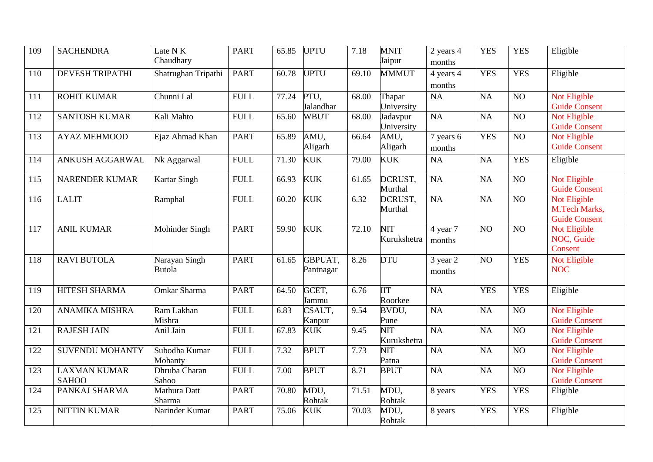| 109 | <b>SACHENDRA</b>                    | Late N K<br>Chaudhary    | <b>PART</b> | 65.85 | <b>UPTU</b>          | 7.18  | <b>MNIT</b><br>Jaipur     | 2 years 4<br>months | <b>YES</b>      | <b>YES</b>      | Eligible                                              |
|-----|-------------------------------------|--------------------------|-------------|-------|----------------------|-------|---------------------------|---------------------|-----------------|-----------------|-------------------------------------------------------|
| 110 | <b>DEVESH TRIPATHI</b>              | Shatrughan Tripathi      | <b>PART</b> | 60.78 | <b>UPTU</b>          | 69.10 | <b>MMMUT</b>              | 4 years 4<br>months | <b>YES</b>      | <b>YES</b>      | Eligible                                              |
| 111 | <b>ROHIT KUMAR</b>                  | Chunni Lal               | <b>FULL</b> | 77.24 | PTU,<br>Jalandhar    | 68.00 | Thapar<br>University      | NA                  | NA              | NO              | Not Eligible<br><b>Guide Consent</b>                  |
| 112 | <b>SANTOSH KUMAR</b>                | Kali Mahto               | <b>FULL</b> | 65.60 | <b>WBUT</b>          | 68.00 | Jadavpur<br>University    | <b>NA</b>           | NA              | N <sub>O</sub>  | <b>Not Eligible</b><br><b>Guide Consent</b>           |
| 113 | <b>AYAZ MEHMOOD</b>                 | Ejaz Ahmad Khan          | <b>PART</b> | 65.89 | AMU,<br>Aligarh      | 66.64 | AMU,<br>Aligarh           | 7 years 6<br>months | <b>YES</b>      | $\overline{NO}$ | <b>Not Eligible</b><br><b>Guide Consent</b>           |
| 114 | ANKUSH AGGARWAL                     | Nk Aggarwal              | <b>FULL</b> | 71.30 | <b>KUK</b>           | 79.00 | <b>KUK</b>                | NA                  | NA              | <b>YES</b>      | Eligible                                              |
| 115 | <b>NARENDER KUMAR</b>               | Kartar Singh             | <b>FULL</b> | 66.93 | <b>KUK</b>           | 61.65 | DCRUST,<br>Murthal        | NA                  | NA              | NO              | Not Eligible<br><b>Guide Consent</b>                  |
| 116 | <b>LALIT</b>                        | Ramphal                  | <b>FULL</b> | 60.20 | <b>KUK</b>           | 6.32  | DCRUST,<br>Murthal        | $\rm NA$            | NA              | N <sub>O</sub>  | Not Eligible<br>M.Tech Marks,<br><b>Guide Consent</b> |
| 117 | <b>ANIL KUMAR</b>                   | Mohinder Singh           | <b>PART</b> | 59.90 | <b>KUK</b>           | 72.10 | NIT<br>Kurukshetra        | 4 year 7<br>months  | $\overline{NO}$ | $\overline{NO}$ | Not Eligible<br>NOC, Guide<br>Consent                 |
| 118 | <b>RAVI BUTOLA</b>                  | Narayan Singh<br>Butola  | <b>PART</b> | 61.65 | GBPUAT,<br>Pantnagar | 8.26  | <b>DTU</b>                | 3 year 2<br>months  | NO              | <b>YES</b>      | Not Eligible<br><b>NOC</b>                            |
| 119 | HITESH SHARMA                       | Omkar Sharma             | <b>PART</b> | 64.50 | GCET,<br>Jammu       | 6.76  | <b>III</b><br>Roorkee     | <b>NA</b>           | <b>YES</b>      | <b>YES</b>      | Eligible                                              |
| 120 | <b>ANAMIKA MISHRA</b>               | Ram Lakhan<br>Mishra     | <b>FULL</b> | 6.83  | CSAUT,<br>Kanpur     | 9.54  | BVDU,<br>Pune             | <b>NA</b>           | NA              | NO              | Not Eligible<br><b>Guide Consent</b>                  |
| 121 | <b>RAJESH JAIN</b>                  | Anil Jain                | <b>FULL</b> | 67.83 | <b>KUK</b>           | 9.45  | <b>NIT</b><br>Kurukshetra | <b>NA</b>           | NA              | NO              | Not Eligible<br><b>Guide Consent</b>                  |
| 122 | <b>SUVENDU MOHANTY</b>              | Subodha Kumar<br>Mohanty | <b>FULL</b> | 7.32  | <b>BPUT</b>          | 7.73  | <b>NIT</b><br>Patna       | NA                  | <b>NA</b>       | N <sub>O</sub>  | Not Eligible<br><b>Guide Consent</b>                  |
| 123 | <b>LAXMAN KUMAR</b><br><b>SAHOO</b> | Dhruba Charan<br>Sahoo   | <b>FULL</b> | 7.00  | <b>BPUT</b>          | 8.71  | <b>BPUT</b>               | NA                  | NA              | $\overline{NO}$ | Not Eligible<br><b>Guide Consent</b>                  |
| 124 | PANKAJ SHARMA                       | Mathura Datt<br>Sharma   | <b>PART</b> | 70.80 | MDU,<br>Rohtak       | 71.51 | MDU,<br>Rohtak            | 8 years             | <b>YES</b>      | <b>YES</b>      | Eligible                                              |
| 125 | <b>NITTIN KUMAR</b>                 | Narinder Kumar           | <b>PART</b> | 75.06 | <b>KUK</b>           | 70.03 | MDU,<br>Rohtak            | 8 years             | <b>YES</b>      | <b>YES</b>      | Eligible                                              |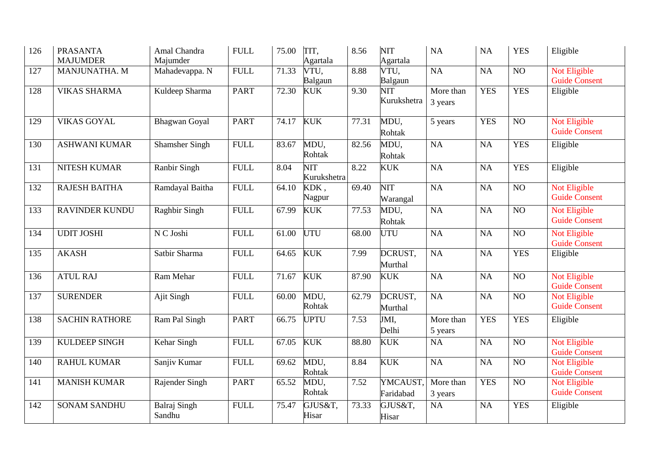| 126 | <b>PRASANTA</b><br><b>MAJUMDER</b> | Amal Chandra<br>Majumder      | ${\rm FULL}$    | 75.00 | TIT,<br>Agartala          | 8.56  | <b>NIT</b><br>Agartala    | NA                   | <b>NA</b>       | <b>YES</b>      | Eligible                             |
|-----|------------------------------------|-------------------------------|-----------------|-------|---------------------------|-------|---------------------------|----------------------|-----------------|-----------------|--------------------------------------|
| 127 | MANJUNATHA. M                      | Mahadevappa. N                | <b>FULL</b>     | 71.33 | VTU,<br>Balgaun           | 8.88  | VTU,<br>Balgaun           | NA                   | <b>NA</b>       | NO              | Not Eligible<br><b>Guide Consent</b> |
| 128 | <b>VIKAS SHARMA</b>                | Kuldeep Sharma                | <b>PART</b>     | 72.30 | <b>KUK</b>                | 9.30  | <b>NIT</b><br>Kurukshetra | More than<br>3 years | <b>YES</b>      | <b>YES</b>      | Eligible                             |
| 129 | <b>VIKAS GOYAL</b>                 | <b>Bhagwan</b> Goyal          | <b>PART</b>     | 74.17 | <b>KUK</b>                | 77.31 | MDU,<br>Rohtak            | 5 years              | <b>YES</b>      | $\overline{NO}$ | Not Eligible<br><b>Guide Consent</b> |
| 130 | <b>ASHWANI KUMAR</b>               | <b>Shamsher Singh</b>         | ${\hbox{FULL}}$ | 83.67 | MDU,<br>Rohtak            | 82.56 | MDU,<br>Rohtak            | NA                   | NA              | <b>YES</b>      | Eligible                             |
| 131 | NITESH KUMAR                       | Ranbir Singh                  | <b>FULL</b>     | 8.04  | <b>NIT</b><br>Kurukshetra | 8.22  | <b>KUK</b>                | NA                   | <b>NA</b>       | <b>YES</b>      | Eligible                             |
| 132 | <b>RAJESH BAITHA</b>               | Ramdayal Baitha               | <b>FULL</b>     | 64.10 | KDK,<br>Nagpur            | 69.40 | <b>NIT</b><br>Warangal    | NA                   | NA              | NO              | Not Eligible<br><b>Guide Consent</b> |
| 133 | <b>RAVINDER KUNDU</b>              | Raghbir Singh                 | <b>FULL</b>     | 67.99 | <b>KUK</b>                | 77.53 | MDU,<br>Rohtak            | NA                   | NA              | NO              | Not Eligible<br><b>Guide Consent</b> |
| 134 | <b>UDIT JOSHI</b>                  | N C Joshi                     | <b>FULL</b>     | 61.00 | <b>UTU</b>                | 68.00 | UTU                       | NA                   | <b>NA</b>       | N <sub>O</sub>  | Not Eligible<br><b>Guide Consent</b> |
| 135 | <b>AKASH</b>                       | Satbir Sharma                 | ${\hbox{FULL}}$ | 64.65 | <b>KUK</b>                | 7.99  | DCRUST,<br>Murthal        | NA                   | <b>NA</b>       | <b>YES</b>      | Eligible                             |
| 136 | <b>ATUL RAJ</b>                    | Ram Mehar                     | <b>FULL</b>     | 71.67 | <b>KUK</b>                | 87.90 | <b>KUK</b>                | NA                   | NA              | NO              | Not Eligible<br><b>Guide Consent</b> |
| 137 | <b>SURENDER</b>                    | Ajit Singh                    | <b>FULL</b>     | 60.00 | MDU,<br>Rohtak            | 62.79 | DCRUST,<br>Murthal        | $\overline{NA}$      | NA              | $\overline{NO}$ | Not Eligible<br><b>Guide Consent</b> |
| 138 | <b>SACHIN RATHORE</b>              | Ram Pal Singh                 | <b>PART</b>     | 66.75 | <b>UPTU</b>               | 7.53  | JMI,<br>Delhi             | More than<br>5 years | <b>YES</b>      | <b>YES</b>      | Eligible                             |
| 139 | KULDEEP SINGH                      | Kehar Singh                   | <b>FULL</b>     | 67.05 | <b>KUK</b>                | 88.80 | <b>KUK</b>                | NA                   | NA              | $\overline{NO}$ | Not Eligible<br><b>Guide Consent</b> |
| 140 | <b>RAHUL KUMAR</b>                 | Sanjiv Kumar                  | <b>FULL</b>     | 69.62 | MDU,<br>Rohtak            | 8.84  | <b>KUK</b>                | $\overline{NA}$      | $\overline{NA}$ | $\overline{NO}$ | Not Eligible<br><b>Guide Consent</b> |
| 141 | <b>MANISH KUMAR</b>                | Rajender Singh                | <b>PART</b>     | 65.52 | MDU,<br>Rohtak            | 7.52  | YMCAUST,<br>Faridabad     | More than<br>3 years | <b>YES</b>      | $\overline{NO}$ | Not Eligible<br><b>Guide Consent</b> |
| 142 | <b>SONAM SANDHU</b>                | <b>Balraj Singh</b><br>Sandhu | <b>FULL</b>     | 75.47 | GJUS&T,<br>Hisar          | 73.33 | GJUS&T,<br>Hisar          | NA                   | <b>NA</b>       | <b>YES</b>      | Eligible                             |